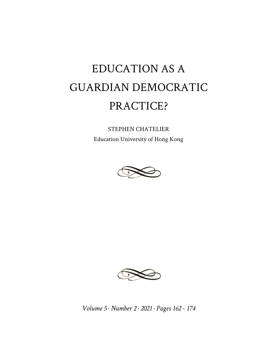# EDUCATION AS A GUARDIAN DEMOCRATIC PRACTICE?

STEPHEN CHATELIER Education University of Hong Kong





*Volume 5 · Number 2 · 2021 · Pages 162 - 174*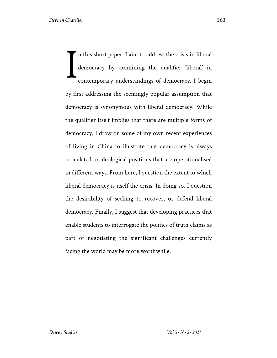n this short paper, I aim to address the crisis in liberal democracy by examining the qualifier 'liberal' in contemporary understandings of democracy. I begin by first addressing the seemingly popular assumption that democracy is synonymous with liberal democracy. While the qualifier itself implies that there are multiple forms of democracy, I draw on some of my own recent experiences of living in China to illustrate that democracy is always articulated to ideological positions that are operationalised in different ways. From here, I question the extent to which liberal democracy is itself the crisis. In doing so, I question the desirability of seeking to recover, or defend liberal democracy. Finally, I suggest that developing practices that enable students to interrogate the politics of truth claims as part of negotiating the significant challenges currently facing the world may be more worthwhile. I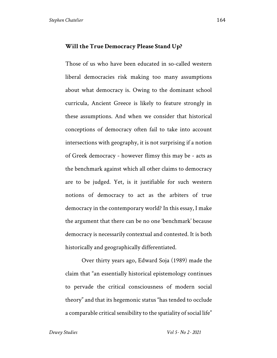#### **Will the True Democracy Please Stand Up?**

Those of us who have been educated in so-called western liberal democracies risk making too many assumptions about what democracy is. Owing to the dominant school curricula, Ancient Greece is likely to feature strongly in these assumptions. And when we consider that historical conceptions of democracy often fail to take into account intersections with geography, it is not surprising if a notion of Greek democracy - however flimsy this may be - acts as the benchmark against which all other claims to democracy are to be judged. Yet, is it justifiable for such western notions of democracy to act as the arbiters of true democracy in the contemporary world? In this essay, I make the argument that there can be no one 'benchmark' because democracy is necessarily contextual and contested. It is both historically and geographically differentiated.

Over thirty years ago, Edward Soja (1989) made the claim that "an essentially historical epistemology continues to pervade the critical consciousness of modern social theory" and that its hegemonic status "has tended to occlude a comparable critical sensibility to the spatiality of social life"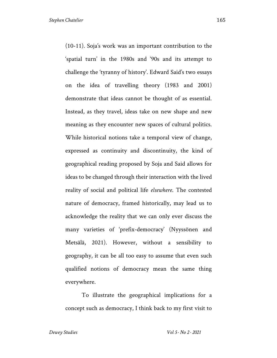(10-11). Soja's work was an important contribution to the 'spatial turn' in the 1980s and '90s and its attempt to challenge the 'tyranny of history'. Edward Said's two essays on the idea of travelling theory (1983 and 2001) demonstrate that ideas cannot be thought of as essential. Instead, as they travel, ideas take on new shape and new meaning as they encounter new spaces of cultural politics. While historical notions take a temporal view of change, expressed as continuity and discontinuity, the kind of geographical reading proposed by Soja and Said allows for ideas to be changed through their interaction with the lived reality of social and political life *elsewhere*. The contested nature of democracy, framed historically, may lead us to acknowledge the reality that we can only ever discuss the many varieties of 'prefix-democracy' (Nyyssönen and Metsälä, 2021). However, without a sensibility to geography, it can be all too easy to assume that even such qualified notions of democracy mean the same thing everywhere.

To illustrate the geographical implications for a concept such as democracy, I think back to my first visit to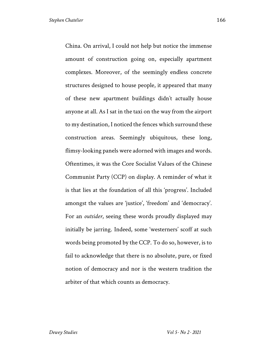China. On arrival, I could not help but notice the immense amount of construction going on, especially apartment complexes. Moreover, of the seemingly endless concrete structures designed to house people, it appeared that many of these new apartment buildings didn't actually house anyone at all. As I sat in the taxi on the way from the airport to my destination, I noticed the fences which surround these construction areas. Seemingly ubiquitous, these long, flimsy-looking panels were adorned with images and words. Oftentimes, it was the Core Socialist Values of the Chinese Communist Party (CCP) on display. A reminder of what it is that lies at the foundation of all this 'progress'. Included amongst the values are 'justice', 'freedom' and 'democracy'. For an *outsider*, seeing these words proudly displayed may initially be jarring. Indeed, some 'westerners' scoff at such words being promoted by the CCP. To do so, however, is to fail to acknowledge that there is no absolute, pure, or fixed notion of democracy and nor is the western tradition the arbiter of that which counts as democracy.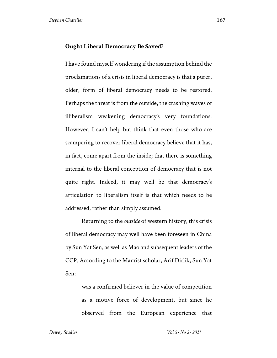### **Ought Liberal Democracy Be Saved?**

I have found myself wondering if the assumption behind the proclamations of a crisis in liberal democracy is that a purer, older, form of liberal democracy needs to be restored. Perhaps the threat is from the outside, the crashing waves of illiberalism weakening democracy's very foundations. However, I can't help but think that even those who are scampering to recover liberal democracy believe that it has, in fact, come apart from the inside; that there is something internal to the liberal conception of democracy that is not quite right. Indeed, it may well be that democracy's articulation to liberalism itself is that which needs to be addressed, rather than simply assumed.

Returning to the *outside* of western history, this crisis of liberal democracy may well have been foreseen in China by Sun Yat Sen, as well as Mao and subsequent leaders of the CCP. According to the Marxist scholar, Arif Dirlik, Sun Yat Sen:

> was a confirmed believer in the value of competition as a motive force of development, but since he observed from the European experience that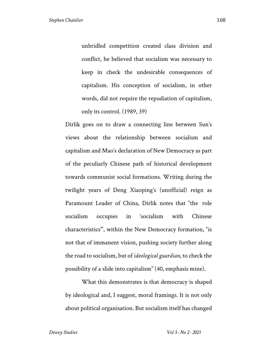unbridled competition created class division and conflict, he believed that socialism was necessary to keep in check the undesirable consequences of capitalism. His conception of socialism, in other words, did not require the repudiation of capitalism, only its control. (1989, 39)

Dirlik goes on to draw a connecting line between Sun's views about the relationship between socialism and capitalism and Mao's declaration of New Democracy as part of the peculiarly Chinese path of historical development towards communist social formations. Writing during the twilight years of Deng Xiaoping's (unofficial) reign as Paramount Leader of China, Dirlik notes that "the role socialism occupies in 'socialism with Chinese characteristics'", within the New Democracy formation, "is not that of immanent vision, pushing society further along the road to socialism, but of *ideological guardian*, to check the possibility of a slide into capitalism" (40, emphasis mine).

What this demonstrates is that democracy is shaped by ideological and, I suggest, moral framings. It is not only about political organisation. But socialism itself has changed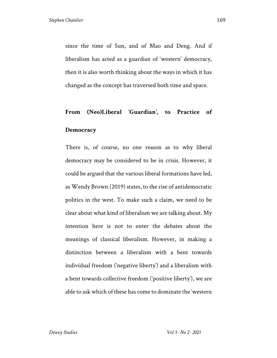since the time of Sun, and of Mao and Deng. And if liberalism has acted as a guardian of 'western' democracy, then it is also worth thinking about the ways in which it has changed as the concept has traversed both time and space.

## **From (Neo)Liberal 'Guardian', to Practice of**

### **Democracy**

There is, of course, no one reason as to why liberal democracy may be considered to be in crisis. However, it could be argued that the various liberal formations have led, as Wendy Brown (2019) states, to the rise of antidemocratic politics in the west. To make such a claim, we need to be clear about what kind of liberalism we are talking about. My intention here is not to enter the debates about the meanings of classical liberalism. However, in making a distinction between a liberalism with a bent towards individual freedom ('negative liberty') and a liberalism with a bent towards collective freedom ('positive liberty'), we are able to ask which of these has come to dominate the 'western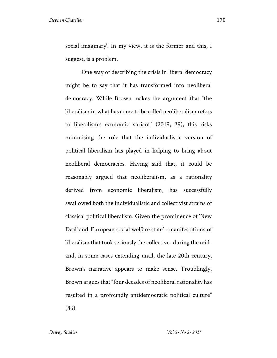social imaginary'. In my view, it is the former and this, I suggest, is a problem.

One way of describing the crisis in liberal democracy might be to say that it has transformed into neoliberal democracy. While Brown makes the argument that "the liberalism in what has come to be called neoliberalism refers to liberalism's economic variant" (2019, 39), this risks minimising the role that the individualistic version of political liberalism has played in helping to bring about neoliberal democracies. Having said that, it could be reasonably argued that neoliberalism, as a rationality derived from economic liberalism, has successfully swallowed both the individualistic and collectivist strains of classical political liberalism. Given the prominence of 'New Deal' and 'European social welfare state' - manifestations of liberalism that took seriously the collective -during the midand, in some cases extending until, the late-20th century, Brown's narrative appears to make sense. Troublingly, Brown argues that "four decades of neoliberal rationality has resulted in a profoundly antidemocratic political culture" (86).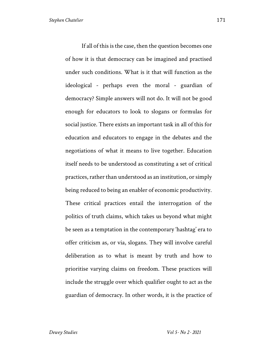If all of this is the case, then the question becomes one of how it is that democracy can be imagined and practised under such conditions. What is it that will function as the ideological - perhaps even the moral - guardian of democracy? Simple answers will not do. It will not be good enough for educators to look to slogans or formulas for social justice. There exists an important task in all of this for education and educators to engage in the debates and the negotiations of what it means to live together. Education itself needs to be understood as constituting a set of critical practices, rather than understood as an institution, or simply being reduced to being an enabler of economic productivity. These critical practices entail the interrogation of the politics of truth claims, which takes us beyond what might be seen as a temptation in the contemporary 'hashtag' era to offer criticism as, or via, slogans. They will involve careful deliberation as to what is meant by truth and how to prioritise varying claims on freedom. These practices will include the struggle over which qualifier ought to act as the guardian of democracy. In other words, it is the practice of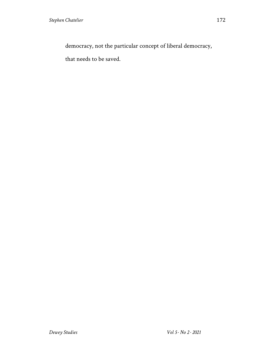democracy, not the particular concept of liberal democracy,

that needs to be saved.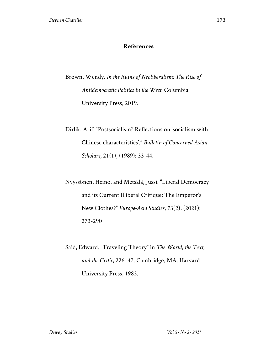### **References**

Brown, Wendy. *In the Ruins of Neoliberalism: The Rise of Antidemocratic Politics in the West*. Columbia University Press, 2019.

Dirlik, Arif. "Postsocialism? Reflections on 'socialism with Chinese characteristics'." *Bulletin of Concerned Asian Scholars*, 21(1), (1989): 33-44.

Nyyssönen, Heino. and Metsälä, Jussi. "Liberal Democracy and its Current Illiberal Critique: The Emperor's New Clothes?" *Europe-Asia Studies*, 73(2), (2021): 273-290

Said, Edward. "Traveling Theory" in *The World, the Text, and the Critic*, 226–47. Cambridge, MA: Harvard University Press, 1983.